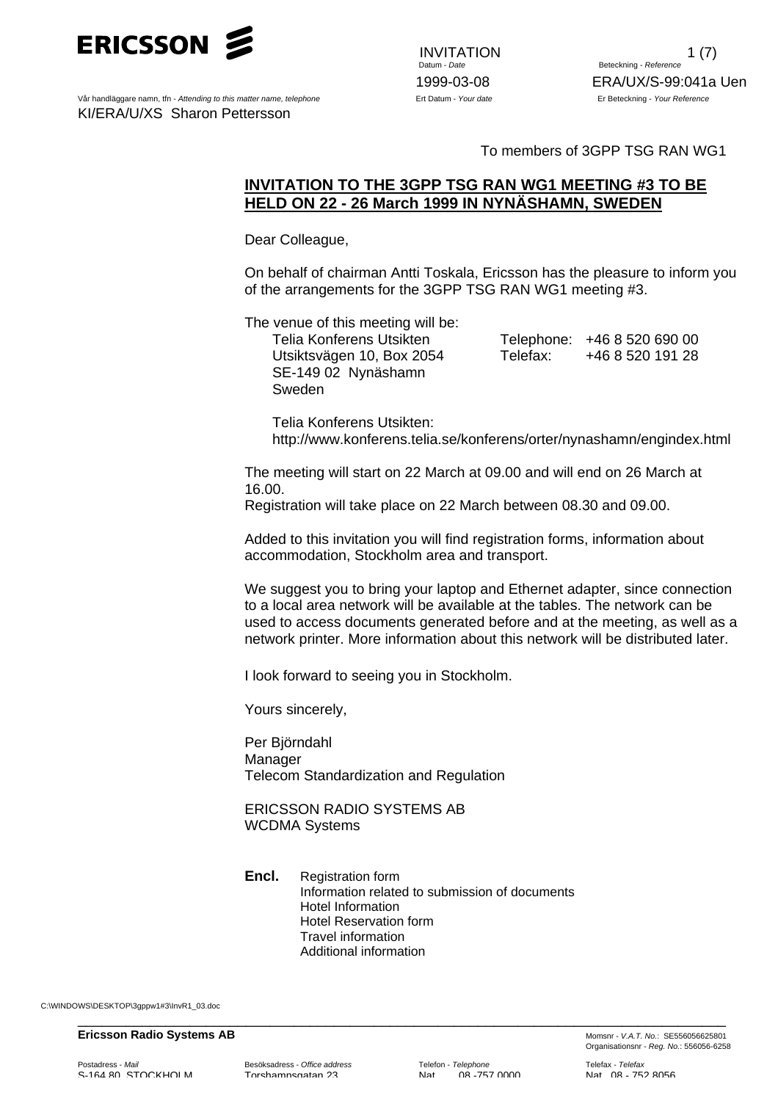

Vår handläggare namn, tfn - *Attending to this matter name, telephone* Ert Datum - *Your date* Er Beteckning - *Your Reference* KI/ERA/U/XS Sharon Pettersson

INVITATION 1 (7)<br>Datum - *Date* 1 (7) **Beteckning - Reference** 1999-03-08 ERA/UX/S-99:041a Uen

To members of 3GPP TSG RAN WG1

## **INVITATION TO THE 3GPP TSG RAN WG1 MEETING #3 TO BE HELD ON 22 - 26 March 1999 IN NYNÄSHAMN, SWEDEN**

Dear Colleague,

On behalf of chairman Antti Toskala, Ericsson has the pleasure to inform you of the arrangements for the 3GPP TSG RAN WG1 meeting #3.

The venue of this meeting will be:

SE-149 02 Nynäshamn Sweden

Telia Konferens Utsikten Telephone: +46 8 520 690 00 Utsiktsvägen 10, Box 2054 Telefax: +46 8 520 191 28

Telia Konferens Utsikten: http://www.konferens.telia.se/konferens/orter/nynashamn/engindex.html

The meeting will start on 22 March at 09.00 and will end on 26 March at 16.00.

Registration will take place on 22 March between 08.30 and 09.00.

Added to this invitation you will find registration forms, information about accommodation, Stockholm area and transport.

We suggest you to bring your laptop and Ethernet adapter, since connection to a local area network will be available at the tables. The network can be used to access documents generated before and at the meeting, as well as a network printer. More information about this network will be distributed later.

I look forward to seeing you in Stockholm.

Yours sincerely,

Per Björndahl Manager Telecom Standardization and Regulation

ERICSSON RADIO SYSTEMS AB WCDMA Systems

**Encl.** Registration form Information related to submission of documents Hotel Information Hotel Reservation form Travel information Additional information

\_\_\_\_\_\_\_\_\_\_\_\_\_\_\_\_\_\_\_\_\_\_\_\_\_\_\_\_\_\_\_\_\_\_\_\_\_\_\_\_\_\_\_\_\_\_\_\_\_\_\_\_\_\_\_\_\_\_\_\_\_\_\_\_\_\_\_\_\_\_\_\_\_\_\_\_\_\_\_\_\_

C:\WINDOWS\DESKTOP\3gppw1#3\InvR1\_03.doc

#### **Ericsson Radio Systems AB** Momsnr - *V.A.T. No.*: SE556056625801

S-164 80 STOCKHOLM Torshamnsgatan 23 Nat 08 -757 0000 Nat 08 - 752 8056

Organisationsnr - *Reg. No.*: 556056-6258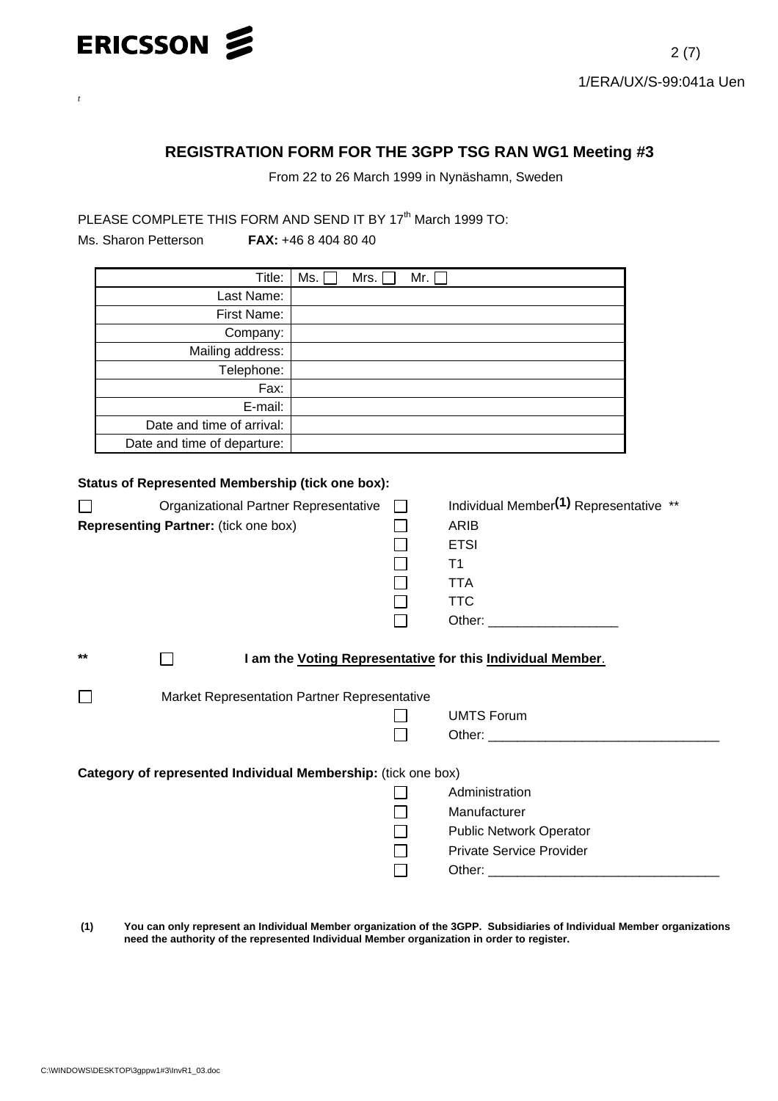

# **REGISTRATION FORM FOR THE 3GPP TSG RAN WG1 Meeting #3**

From 22 to 26 March 1999 in Nynäshamn, Sweden

PLEASE COMPLETE THIS FORM AND SEND IT BY 17<sup>th</sup> March 1999 TO:

*t*

Ms. Sharon Petterson **FAX:** +46 8 404 80 40

| Title:                      | Ms.<br>Mrs.<br>Mr. $\lceil$ |
|-----------------------------|-----------------------------|
| Last Name:                  |                             |
| First Name:                 |                             |
| Company:                    |                             |
| Mailing address:            |                             |
| Telephone:                  |                             |
| Fax:                        |                             |
| E-mail:                     |                             |
| Date and time of arrival:   |                             |
| Date and time of departure: |                             |

## **Status of Represented Membership (tick one box):**

|                                                               | Organizational Partner Representative<br>Representing Partner: (tick one box) |  | Individual Member(1) Representative **<br>ARIB<br><b>ETSI</b><br>T1 |  |  |  |
|---------------------------------------------------------------|-------------------------------------------------------------------------------|--|---------------------------------------------------------------------|--|--|--|
|                                                               |                                                                               |  | <b>TTA</b>                                                          |  |  |  |
|                                                               |                                                                               |  | <b>TTC</b>                                                          |  |  |  |
|                                                               |                                                                               |  | Other: ________________________                                     |  |  |  |
| $***$                                                         | I am the Voting Representative for this Individual Member.                    |  |                                                                     |  |  |  |
|                                                               | Market Representation Partner Representative                                  |  |                                                                     |  |  |  |
|                                                               |                                                                               |  | <b>UMTS Forum</b>                                                   |  |  |  |
|                                                               |                                                                               |  |                                                                     |  |  |  |
|                                                               |                                                                               |  |                                                                     |  |  |  |
| Category of represented Individual Membership: (tick one box) |                                                                               |  |                                                                     |  |  |  |
|                                                               |                                                                               |  | Administration                                                      |  |  |  |
|                                                               |                                                                               |  | Manufacturer                                                        |  |  |  |
|                                                               |                                                                               |  | <b>Public Network Operator</b>                                      |  |  |  |
|                                                               |                                                                               |  | <b>Private Service Provider</b>                                     |  |  |  |
|                                                               |                                                                               |  |                                                                     |  |  |  |
|                                                               |                                                                               |  |                                                                     |  |  |  |

 **(1) You can only represent an Individual Member organization of the 3GPP. Subsidiaries of Individual Member organizations need the authority of the represented Individual Member organization in order to register.**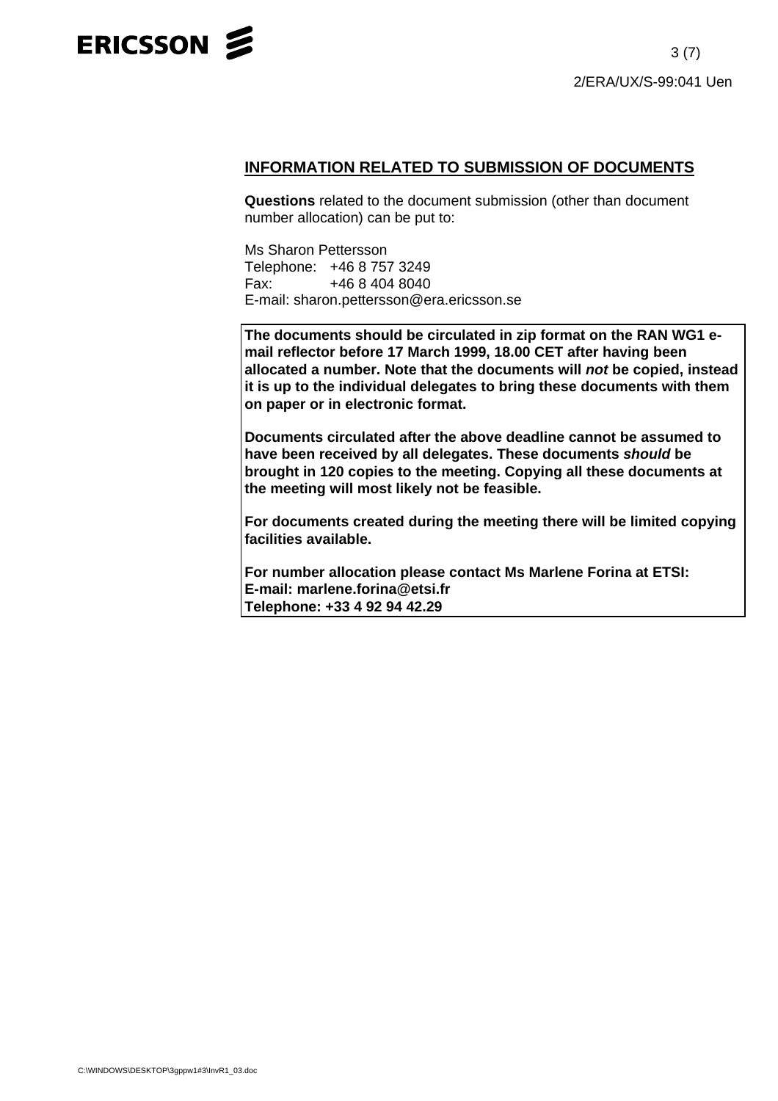

## **INFORMATION RELATED TO SUBMISSION OF DOCUMENTS**

**Questions** related to the document submission (other than document number allocation) can be put to:

Ms Sharon Pettersson Telephone: +46 8 757 3249 Fax: +46 8 404 8040 E-mail: sharon.pettersson@era.ericsson.se

**The documents should be circulated in zip format on the RAN WG1 email reflector before 17 March 1999, 18.00 CET after having been allocated a number. Note that the documents will** *not* **be copied, instead it is up to the individual delegates to bring these documents with them on paper or in electronic format.**

**Documents circulated after the above deadline cannot be assumed to have been received by all delegates. These documents** *should* **be brought in 120 copies to the meeting. Copying all these documents at the meeting will most likely not be feasible.**

**For documents created during the meeting there will be limited copying facilities available.**

**For number allocation please contact Ms Marlene Forina at ETSI: E-mail: marlene.forina@etsi.fr Telephone: +33 4 92 94 42.29**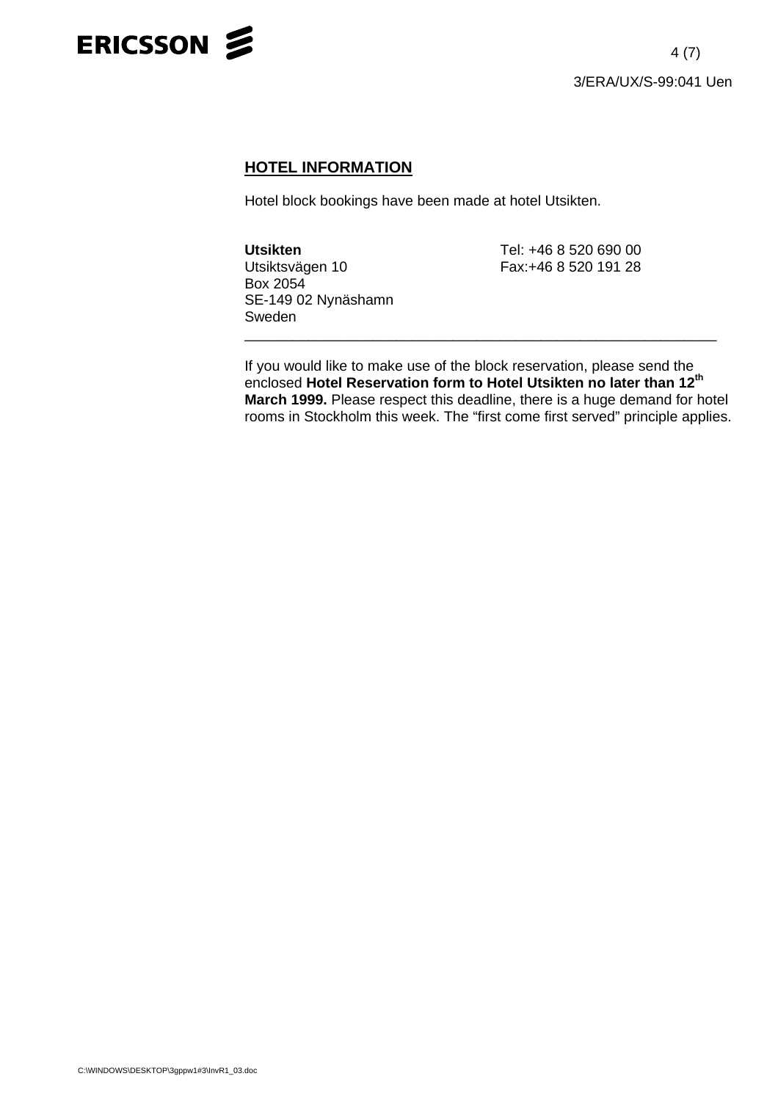

# **HOTEL INFORMATION**

Hotel block bookings have been made at hotel Utsikten.

**Utsikten** Tel: +46 8 520 690 00 Box 2054 SE-149 02 Nynäshamn Sweden \_\_\_\_\_\_\_\_\_\_\_\_\_\_\_\_\_\_\_\_\_\_\_\_\_\_\_\_\_\_\_\_\_\_\_\_\_\_\_\_\_\_\_\_\_\_\_\_\_\_\_\_\_\_\_\_\_\_\_

Fax:+46 8 520 191 28

If you would like to make use of the block reservation, please send the enclosed **Hotel Reservation form to Hotel Utsikten no later than 12th March 1999.** Please respect this deadline, there is a huge demand for hotel rooms in Stockholm this week. The "first come first served" principle applies.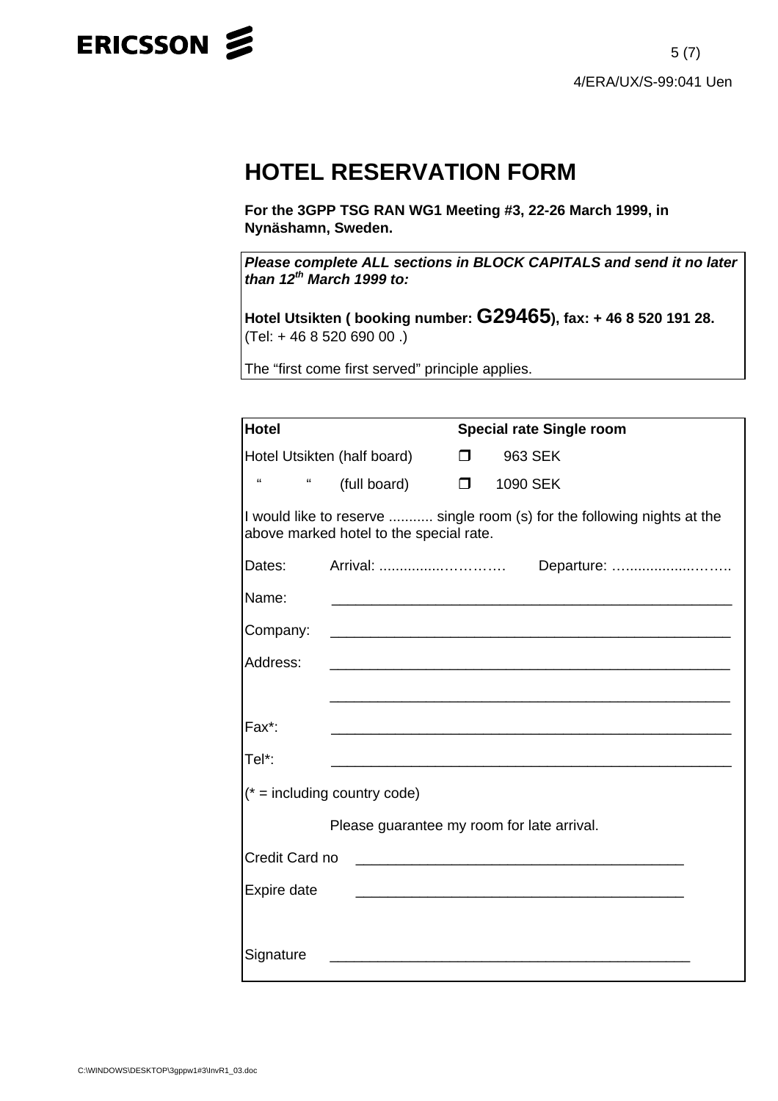

# **HOTEL RESERVATION FORM**

**For the 3GPP TSG RAN WG1 Meeting #3, 22-26 March 1999, in Nynäshamn, Sweden.**

*Please complete ALL sections in BLOCK CAPITALS and send it no later than 12th March 1999 to:*

**Hotel Utsikten ( booking number: G29465), fax: + 46 8 520 191 28.** (Tel: + 46 8 520 690 00 .)

The "first come first served" principle applies.

| <b>Hotel</b>                   | <b>Special rate Single room</b>            |        |                   |                                                                          |  |
|--------------------------------|--------------------------------------------|--------|-------------------|--------------------------------------------------------------------------|--|
| Hotel Utsikten (half board)    |                                            | $\Box$ | 963 SEK           |                                                                          |  |
| $\epsilon$<br>"                | (full board)                               |        | <b>D</b> 1090 SEK |                                                                          |  |
|                                | above marked hotel to the special rate.    |        |                   | I would like to reserve  single room (s) for the following nights at the |  |
| Dates:                         |                                            |        |                   |                                                                          |  |
| Name:                          |                                            |        |                   |                                                                          |  |
| Company:                       |                                            |        |                   |                                                                          |  |
| Address:                       |                                            |        |                   |                                                                          |  |
|                                |                                            |        |                   |                                                                          |  |
| Fax*:                          |                                            |        |                   |                                                                          |  |
| Tel*:                          |                                            |        |                   |                                                                          |  |
| $(* = including country code)$ |                                            |        |                   |                                                                          |  |
|                                | Please guarantee my room for late arrival. |        |                   |                                                                          |  |
| Credit Card no                 |                                            |        |                   |                                                                          |  |
| Expire date                    |                                            |        |                   |                                                                          |  |
|                                |                                            |        |                   |                                                                          |  |
| Signature                      |                                            |        |                   |                                                                          |  |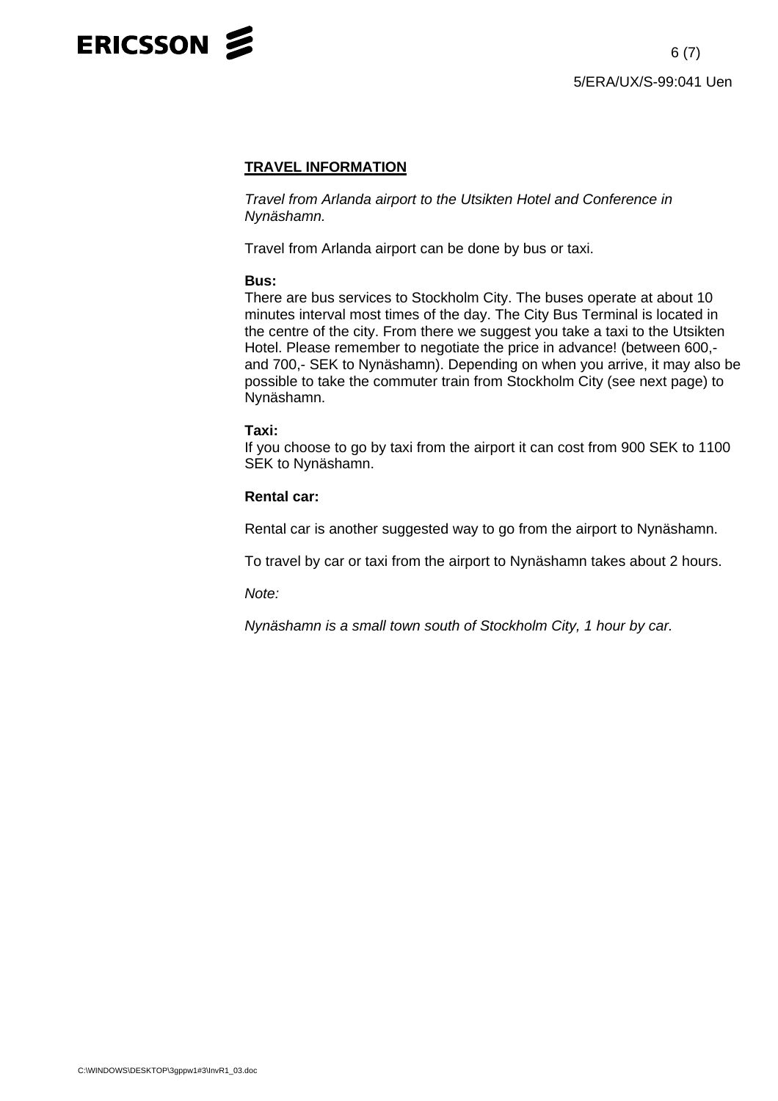

## **TRAVEL INFORMATION**

*Travel from Arlanda airport to the Utsikten Hotel and Conference in Nynäshamn.*

Travel from Arlanda airport can be done by bus or taxi.

#### **Bus:**

There are bus services to Stockholm City. The buses operate at about 10 minutes interval most times of the day. The City Bus Terminal is located in the centre of the city. From there we suggest you take a taxi to the Utsikten Hotel. Please remember to negotiate the price in advance! (between 600, and 700,- SEK to Nynäshamn). Depending on when you arrive, it may also be possible to take the commuter train from Stockholm City (see next page) to Nynäshamn.

#### **Taxi:**

If you choose to go by taxi from the airport it can cost from 900 SEK to 1100 SEK to Nynäshamn.

### **Rental car:**

Rental car is another suggested way to go from the airport to Nynäshamn.

To travel by car or taxi from the airport to Nynäshamn takes about 2 hours.

*Note:*

*Nynäshamn is a small town south of Stockholm City, 1 hour by car.*